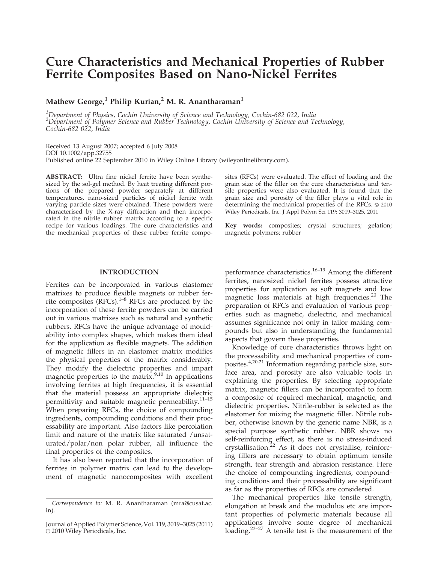# Cure Characteristics and Mechanical Properties of Rubber Ferrite Composites Based on Nano-Nickel Ferrites

Mathew George,<sup>1</sup> Philip Kurian,<sup>2</sup> M. R. Anantharaman<sup>1</sup>

<sup>1</sup>Department of Physics, Cochin University of Science and Technology, Cochin-682 022, India  $^2$ Department of Polymer Science and Rubber Technology, Cochin University of Science and Technology, Cochin-682 022, India

Received 13 August 2007; accepted 6 July 2008 DOI 10.1002/app.32755 Published online 22 September 2010 in Wiley Online Library (wileyonlinelibrary.com).

ABSTRACT: Ultra fine nickel ferrite have been synthesized by the sol-gel method. By heat treating different portions of the prepared powder separately at different temperatures, nano-sized particles of nickel ferrite with varying particle sizes were obtained. These powders were characterised by the X-ray diffraction and then incorporated in the nitrile rubber matrix according to a specific recipe for various loadings. The cure characteristics and the mechanical properties of these rubber ferrite composites (RFCs) were evaluated. The effect of loading and the grain size of the filler on the cure characteristics and tensile properties were also evaluated. It is found that the grain size and porosity of the filler plays a vital role in determining the mechanical properties of the RFCs.  $\odot$  2010 Wiley Periodicals, Inc. J Appl Polym Sci 119: 3019–3025, 2011

Key words: composites; crystal structures; gelation; magnetic polymers; rubber

# INTRODUCTION

Ferrites can be incorporated in various elastomer matrixes to produce flexible magnets or rubber ferrite composites  $(RFCs).<sup>1-8</sup> RFCs$  are produced by the incorporation of these ferrite powders can be carried out in various matrixes such as natural and synthetic rubbers. RFCs have the unique advantage of mouldability into complex shapes, which makes them ideal for the application as flexible magnets. The addition of magnetic fillers in an elastomer matrix modifies the physical properties of the matrix considerably. They modify the dielectric properties and impart magnetic properties to the matrix.<sup>9,10</sup> In applications involving ferrites at high frequencies, it is essential that the material possess an appropriate dielectric permittivity and suitable magnetic permeability.11–15 When preparing RFCs, the choice of compounding ingredients, compounding conditions and their processability are important. Also factors like percolation limit and nature of the matrix like saturated /unsaturated/polar/non polar rubber, all influence the final properties of the composites.

It has also been reported that the incorporation of ferrites in polymer matrix can lead to the development of magnetic nanocomposites with excellent performance characteristics.<sup>16–19</sup> Among the different ferrites, nanosized nickel ferrites possess attractive properties for application as soft magnets and low magnetic loss materials at high frequencies.<sup>20</sup> The preparation of RFCs and evaluation of various properties such as magnetic, dielectric, and mechanical assumes significance not only in tailor making compounds but also in understanding the fundamental aspects that govern these properties.

Knowledge of cure characteristics throws light on the processability and mechanical properties of composites.4,20,21 Information regarding particle size, surface area, and porosity are also valuable tools in explaining the properties. By selecting appropriate matrix, magnetic fillers can be incorporated to form a composite of required mechanical, magnetic, and dielectric properties. Nitrile-rubber is selected as the elastomer for mixing the magnetic filler. Nitrile rubber, otherwise known by the generic name NBR, is a special purpose synthetic rubber. NBR shows no self-reinforcing effect, as there is no stress-induced crystallisation. $22$  As it does not crystallise, reinforcing fillers are necessary to obtain optimum tensile strength, tear strength and abrasion resistance. Here the choice of compounding ingredients, compounding conditions and their processability are significant as far as the properties of RFCs are considered.

The mechanical properties like tensile strength, elongation at break and the modulus etc are important properties of polymeric materials because all applications involve some degree of mechanical loading.<sup>23–27</sup> A tensile test is the measurement of the

Correspondence to: M. R. Anantharaman (mra@cusat.ac. in).

Journal of Applied Polymer Science, Vol. 119, 3019–3025 (2011) © 2010 Wiley Periodicals, Inc.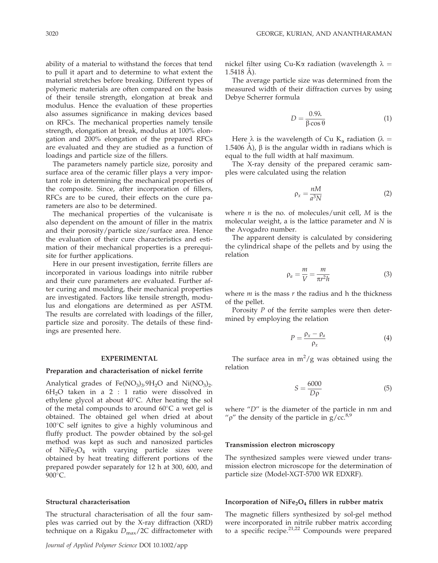ability of a material to withstand the forces that tend to pull it apart and to determine to what extent the material stretches before breaking. Different types of polymeric materials are often compared on the basis of their tensile strength, elongation at break and modulus. Hence the evaluation of these properties also assumes significance in making devices based on RFCs. The mechanical properties namely tensile strength, elongation at break, modulus at 100% elongation and 200% elongation of the prepared RFCs are evaluated and they are studied as a function of loadings and particle size of the fillers.

The parameters namely particle size, porosity and surface area of the ceramic filler plays a very important role in determining the mechanical properties of the composite. Since, after incorporation of fillers, RFCs are to be cured, their effects on the cure parameters are also to be determined.

The mechanical properties of the vulcanisate is also dependent on the amount of filler in the matrix and their porosity/particle size/surface area. Hence the evaluation of their cure characteristics and estimation of their mechanical properties is a prerequisite for further applications.

Here in our present investigation, ferrite fillers are incorporated in various loadings into nitrile rubber and their cure parameters are evaluated. Further after curing and moulding, their mechanical properties are investigated. Factors like tensile strength, modulus and elongations are determined as per ASTM. The results are correlated with loadings of the filler, particle size and porosity. The details of these findings are presented here.

#### EXPERIMENTAL

#### Preparation and characterisation of nickel ferrite

Analytical grades of  $Fe(NO<sub>3</sub>)<sub>3</sub>$ .9H<sub>2</sub>O and Ni(NO<sub>3</sub>)<sub>2</sub>.  $6H<sub>2</sub>O$  taken in a 2 : 1 ratio were dissolved in ethylene glycol at about  $40^{\circ}$ C. After heating the sol of the metal compounds to around  $60^{\circ}$ C a wet gel is obtained. The obtained gel when dried at about  $100^{\circ}$ C self ignites to give a highly voluminous and fluffy product. The powder obtained by the sol-gel method was kept as such and nanosized particles of  $NiFe<sub>2</sub>O<sub>4</sub>$  with varying particle sizes were obtained by heat treating different portions of the prepared powder separately for 12 h at 300, 600, and 900°C.

## Structural characterisation

The structural characterisation of all the four samples was carried out by the X-ray diffraction (XRD) technique on a Rigaku  $D_{\text{max}}/2C$  diffractometer with nickel filter using Cu-K $\alpha$  radiation (wavelength  $\lambda =$  $1.5418$  A).

The average particle size was determined from the measured width of their diffraction curves by using Debye Scherrer formula

$$
D = \frac{0.9\lambda}{\beta \cos \theta} \tag{1}
$$

Here  $\lambda$  is the wavelength of Cu K<sub>a</sub> radiation ( $\lambda =$ 1.5406 A),  $\beta$  is the angular width in radians which is equal to the full width at half maximum.

The X-ray density of the prepared ceramic samples were calculated using the relation

$$
\rho_x = \frac{nM}{a^3 N} \tag{2}
$$

where *n* is the no. of molecules/unit cell,  $M$  is the molecular weight, a is the lattice parameter and N is the Avogadro number.

The apparent density is calculated by considering the cylindrical shape of the pellets and by using the relation

$$
\rho_a = \frac{m}{V} = \frac{m}{\pi r^2 h} \tag{3}
$$

where  $m$  is the mass  $r$  the radius and h the thickness of the pellet.

Porosity P of the ferrite samples were then determined by employing the relation

$$
P = \frac{\rho_x - \rho_a}{\rho_x} \tag{4}
$$

The surface area in  $m^2/g$  was obtained using the relation

$$
S = \frac{6000}{D\rho} \tag{5}
$$

where  $"D"$  is the diameter of the particle in nm and " $\rho$ " the density of the particle in  $g/cc.<sup>8,9</sup>$ 

# Transmission electron microscopy

The synthesized samples were viewed under transmission electron microscope for the determination of particle size (Model-XGT-5700 WR EDXRF).

## Incorporation of  $NiFe<sub>2</sub>O<sub>4</sub>$  fillers in rubber matrix

The magnetic fillers synthesized by sol-gel method were incorporated in nitrile rubber matrix according to a specific recipe.<sup>21,22</sup> Compounds were prepared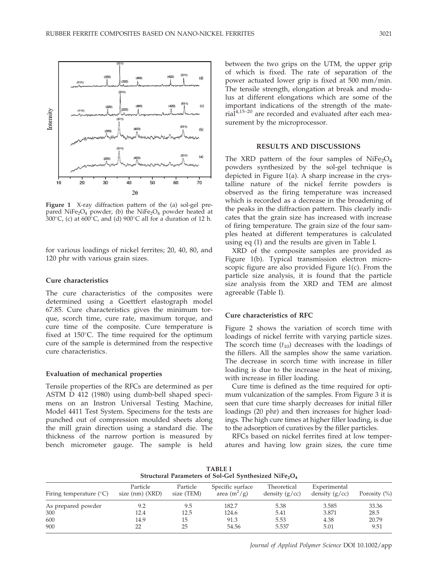

Figure 1 X-ray diffraction pattern of the (a) sol-gel prepared NiFe<sub>2</sub>O<sub>4</sub> powder, (b) the NiFe<sub>2</sub>O<sub>4</sub> powder heated at 300 $\degree$ C, (c) at 600 $\degree$ C, and (d) 900 $\degree$ C all for a duration of 12 h.

for various loadings of nickel ferrites; 20, 40, 80, and 120 phr with various grain sizes.

# Cure characteristics

The cure characteristics of the composites were determined using a Goettfert elastograph model 67.85. Cure characteristics gives the minimum torque, scorch time, cure rate, maximum torque, and cure time of the composite. Cure temperature is fixed at  $150^{\circ}$ C. The time required for the optimum cure of the sample is determined from the respective cure characteristics.

#### Evaluation of mechanical properties

Tensile properties of the RFCs are determined as per ASTM D 412 (1980) using dumb-bell shaped specimens on an Instron Universal Testing Machine, Model 4411 Test System. Specimens for the tests are punched out of compression moulded sheets along the mill grain direction using a standard die. The thickness of the narrow portion is measured by bench micrometer gauge. The sample is held between the two grips on the UTM, the upper grip of which is fixed. The rate of separation of the power actuated lower grip is fixed at 500 mm/min. The tensile strength, elongation at break and modulus at different elongations which are some of the important indications of the strength of the materia $\tilde{d}^{4,15-20}$  are recorded and evaluated after each measurement by the microprocessor.

# RESULTS AND DISCUSSIONS

The XRD pattern of the four samples of  $NiFe<sub>2</sub>O<sub>4</sub>$ powders synthesized by the sol-gel technique is depicted in Figure 1(a). A sharp increase in the crystalline nature of the nickel ferrite powders is observed as the firing temperature was increased which is recorded as a decrease in the broadening of the peaks in the diffraction pattern. This clearly indicates that the grain size has increased with increase of firing temperature. The grain size of the four samples heated at different temperatures is calculated using eq (1) and the results are given in Table I.

XRD of the composite samples are provided as Figure 1(b). Typical transmission electron microscopic figure are also provided Figure 1(c). From the particle size analysis, it is found that the particle size analysis from the XRD and TEM are almost agreeable (Table I).

# Cure characteristics of RFC

Figure 2 shows the variation of scorch time with loadings of nickel ferrite with varying particle sizes. The scorch time  $(t_{10})$  decreases with the loadings of the fillers. All the samples show the same variation. The decrease in scorch time with increase in filler loading is due to the increase in the heat of mixing, with increase in filler loading.

Cure time is defined as the time required for optimum vulcanization of the samples. From Figure 3 it is seen that cure time sharply decreases for initial filler loadings (20 phr) and then increases for higher loadings. The high cure times at higher filler loading, is due to the adsorption of curatives by the filler particles.

RFCs based on nickel ferrites fired at low temperatures and having low grain sizes, the cure time

TABLE I Structural Parameters of Sol-Gel Synthesized NiFe<sub>2</sub>O<sub>4</sub>

| Firing temperature $(^{\circ}C)$ | Particle<br>size $(nm)$ $(XRD)$ | Particle<br>size (TEM) | Specific surface<br>area $(m^2/g)$ | Theoretical<br>density $(g/cc)$ | Experimental<br>density $(g/cc)$ | Porosity $(\% )$ |
|----------------------------------|---------------------------------|------------------------|------------------------------------|---------------------------------|----------------------------------|------------------|
| As prepared powder               | 9.2                             | 9.5                    | 182.7                              | 5.38                            | 3.585                            | 33.36            |
| 300                              | 12.4                            | 12.5                   | 124.6                              | 5.41                            | 3.871                            | 28.5             |
| 600                              | 14.9                            | 15                     | 91.3                               | 5.53                            | 4.38                             | 20.79            |
| 900                              | 22                              | 25                     | 54.56                              | 5.537                           | 5.01                             | 9.51             |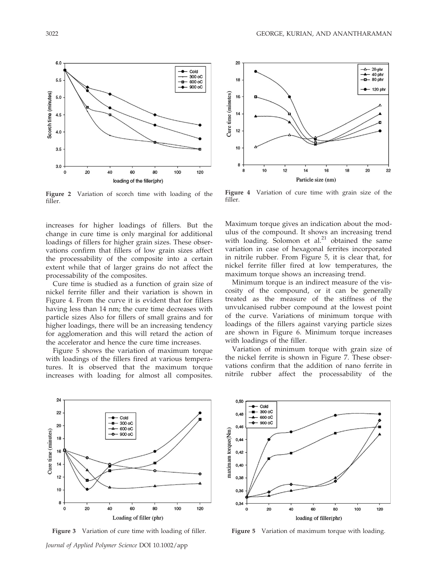

Figure 2 Variation of scorch time with loading of the filler.

increases for higher loadings of fillers. But the change in cure time is only marginal for additional loadings of fillers for higher grain sizes. These observations confirm that fillers of low grain sizes affect the processability of the composite into a certain extent while that of larger grains do not affect the processability of the composites.

Cure time is studied as a function of grain size of nickel ferrite filler and their variation is shown in Figure 4. From the curve it is evident that for fillers having less than 14 nm; the cure time decreases with particle sizes Also for fillers of small grains and for higher loadings, there will be an increasing tendency for agglomeration and this will retard the action of the accelerator and hence the cure time increases.

Figure 5 shows the variation of maximum torque with loadings of the fillers fired at various temperatures. It is observed that the maximum torque increases with loading for almost all composites.



Figure 4 Variation of cure time with grain size of the filler.

Maximum torque gives an indication about the modulus of the compound. It shows an increasing trend with loading. Solomon et al. $^{21}$  obtained the same variation in case of hexagonal ferrites incorporated in nitrile rubber. From Figure 5, it is clear that, for nickel ferrite filler fired at low temperatures, the maximum torque shows an increasing trend.

Minimum torque is an indirect measure of the viscosity of the compound, or it can be generally treated as the measure of the stiffness of the unvulcanised rubber compound at the lowest point of the curve. Variations of minimum torque with loadings of the fillers against varying particle sizes are shown in Figure 6. Minimum torque increases with loadings of the filler.

Variation of minimum torque with grain size of the nickel ferrite is shown in Figure 7. These observations confirm that the addition of nano ferrite in nitrile rubber affect the processability of the



Figure 3 Variation of cure time with loading of filler.



Figure 5 Variation of maximum torque with loading.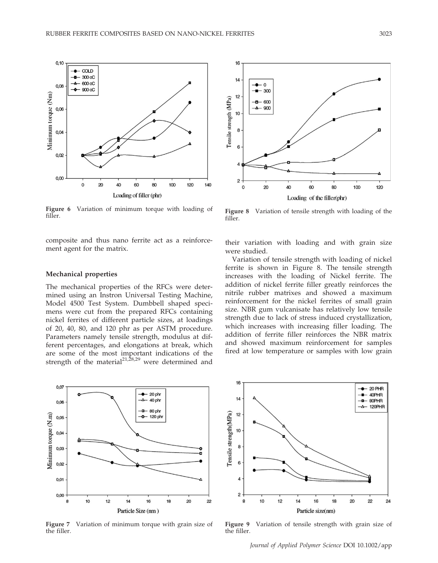

Figure 6 Variation of minimum torque with loading of filler.

composite and thus nano ferrite act as a reinforcement agent for the matrix.

## Mechanical properties

The mechanical properties of the RFCs were determined using an Instron Universal Testing Machine, Model 4500 Test System. Dumbbell shaped specimens were cut from the prepared RFCs containing nickel ferrites of different particle sizes, at loadings of 20, 40, 80, and 120 phr as per ASTM procedure. Parameters namely tensile strength, modulus at different percentages, and elongations at break, which are some of the most important indications of the strength of the material $2^{1,28,29}$  were determined and



Figure 7 Variation of minimum torque with grain size of the filler.



Figure 8 Variation of tensile strength with loading of the filler.

their variation with loading and with grain size were studied.

Variation of tensile strength with loading of nickel ferrite is shown in Figure 8. The tensile strength increases with the loading of Nickel ferrite. The addition of nickel ferrite filler greatly reinforces the nitrile rubber matrixes and showed a maximum reinforcement for the nickel ferrites of small grain size. NBR gum vulcanisate has relatively low tensile strength due to lack of stress induced crystallization, which increases with increasing filler loading. The addition of ferrite filler reinforces the NBR matrix and showed maximum reinforcement for samples fired at low temperature or samples with low grain



Figure 9 Variation of tensile strength with grain size of the filler.

Journal of Applied Polymer Science DOI 10.1002/app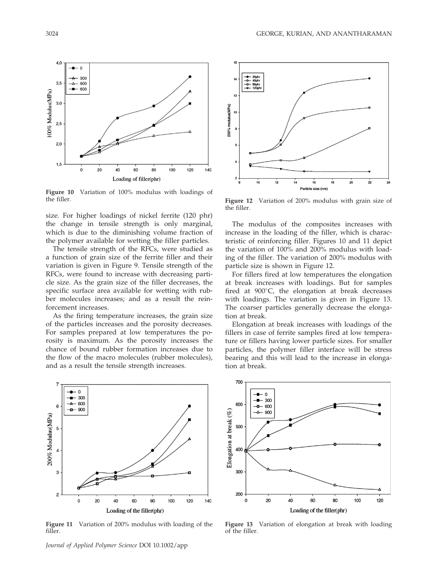

Figure 10 Variation of 100% modulus with loadings of the filler.

size. For higher loadings of nickel ferrite (120 phr) the change in tensile strength is only marginal, which is due to the diminishing volume fraction of the polymer available for wetting the filler particles.

The tensile strength of the RFCs, were studied as a function of grain size of the ferrite filler and their variation is given in Figure 9. Tensile strength of the RFCs, were found to increase with decreasing particle size. As the grain size of the filler decreases, the specific surface area available for wetting with rubber molecules increases; and as a result the reinforcement increases.

As the firing temperature increases, the grain size of the particles increases and the porosity decreases. For samples prepared at low temperatures the porosity is maximum. As the porosity increases the chance of bound rubber formation increases due to the flow of the macro molecules (rubber molecules), and as a result the tensile strength increases.



Figure 11 Variation of 200% modulus with loading of the filler.



Figure 12 Variation of 200% modulus with grain size of the filler.

The modulus of the composites increases with increase in the loading of the filler, which is characteristic of reinforcing filler. Figures 10 and 11 depict the variation of 100% and 200% modulus with loading of the filler. The variation of 200% modulus with particle size is shown in Figure 12.

For fillers fired at low temperatures the elongation at break increases with loadings. But for samples fired at  $900^{\circ}$ C, the elongation at break decreases with loadings. The variation is given in Figure 13. The coarser particles generally decrease the elongation at break.

Elongation at break increases with loadings of the fillers in case of ferrite samples fired at low temperature or fillers having lower particle sizes. For smaller particles, the polymer filler interface will be stress bearing and this will lead to the increase in elongation at break.



Figure 13 Variation of elongation at break with loading of the filler.